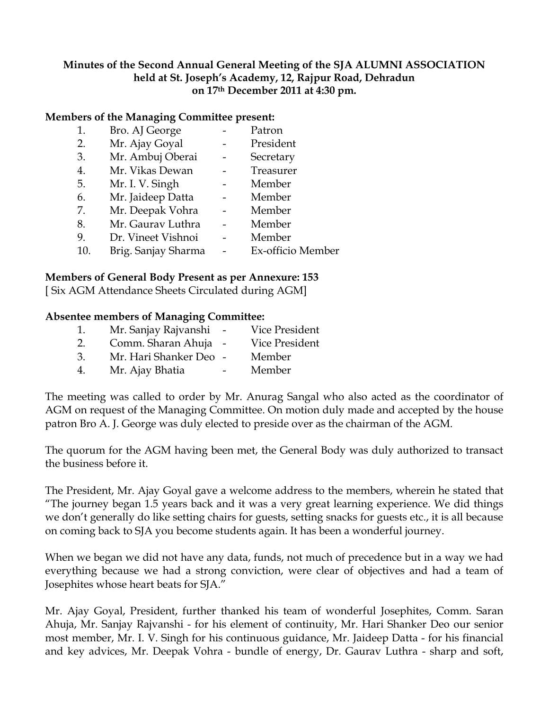## **Minutes of the Second Annual General Meeting of the SJA ALUMNI ASSOCIATION held at St. Joseph's Academy, 12, Rajpur Road, Dehradun on 17th December 2011 at 4:30 pm.**

## **Members of the Managing Committee present:**

- 1. Bro. AJ George Patron 2. Mr. Ajay Goyal - President 3. Mr. Ambuj Oberai - Secretary 4. Mr. Vikas Dewan - Treasurer
- 5. Mr. I. V. Singh Member
- 6. Mr. Jaideep Datta Member
- 7. Mr. Deepak Vohra Member
- 8. Mr. Gaurav Luthra Member
- 9. Dr. Vineet Vishnoi Member
- 10. Brig. Sanjay Sharma Ex-officio Member

## **Members of General Body Present as per Annexure: 153**

[ Six AGM Attendance Sheets Circulated during AGM]

## **Absentee members of Managing Committee:**

1. Mr. Sanjay Rajvanshi - Vice President 2. Comm. Sharan Ahuja - Vice President 3. Mr. Hari Shanker Deo - Member 4. Mr. Ajay Bhatia - Member

The meeting was called to order by Mr. Anurag Sangal who also acted as the coordinator of AGM on request of the Managing Committee. On motion duly made and accepted by the house patron Bro A. J. George was duly elected to preside over as the chairman of the AGM.

The quorum for the AGM having been met, the General Body was duly authorized to transact the business before it.

The President, Mr. Ajay Goyal gave a welcome address to the members, wherein he stated that "The journey began 1.5 years back and it was a very great learning experience. We did things we don't generally do like setting chairs for guests, setting snacks for guests etc., it is all because on coming back to SJA you become students again. It has been a wonderful journey.

When we began we did not have any data, funds, not much of precedence but in a way we had everything because we had a strong conviction, were clear of objectives and had a team of Josephites whose heart beats for SJA."

Mr. Ajay Goyal, President, further thanked his team of wonderful Josephites, Comm. Saran Ahuja, Mr. Sanjay Rajvanshi - for his element of continuity, Mr. Hari Shanker Deo our senior most member, Mr. I. V. Singh for his continuous guidance, Mr. Jaideep Datta - for his financial and key advices, Mr. Deepak Vohra - bundle of energy, Dr. Gaurav Luthra - sharp and soft,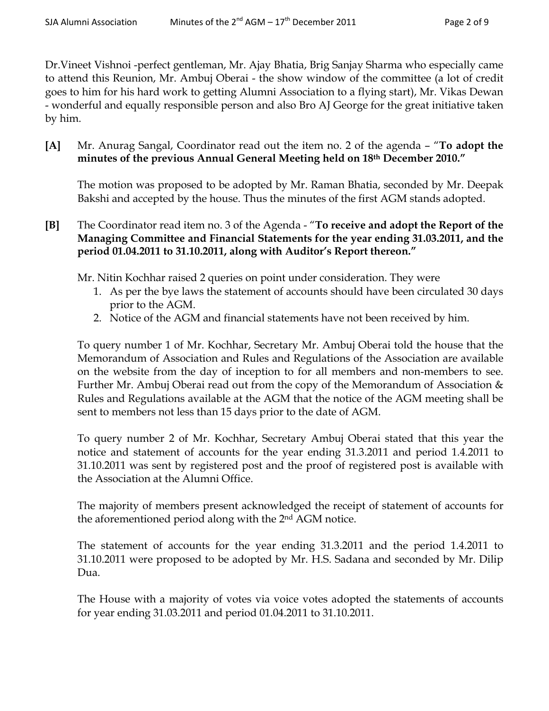Dr.Vineet Vishnoi -perfect gentleman, Mr. Ajay Bhatia, Brig Sanjay Sharma who especially came to attend this Reunion, Mr. Ambuj Oberai - the show window of the committee (a lot of credit goes to him for his hard work to getting Alumni Association to a flying start), Mr. Vikas Dewan - wonderful and equally responsible person and also Bro AJ George for the great initiative taken by him.

**[A]** Mr. Anurag Sangal, Coordinator read out the item no. 2 of the agenda – "**To adopt the minutes of the previous Annual General Meeting held on 18th December 2010."**

The motion was proposed to be adopted by Mr. Raman Bhatia, seconded by Mr. Deepak Bakshi and accepted by the house. Thus the minutes of the first AGM stands adopted.

**[B]** The Coordinator read item no. 3 of the Agenda - "**To receive and adopt the Report of the Managing Committee and Financial Statements for the year ending 31.03.2011, and the period 01.04.2011 to 31.10.2011, along with Auditor's Report thereon."**

Mr. Nitin Kochhar raised 2 queries on point under consideration. They were

- 1. As per the bye laws the statement of accounts should have been circulated 30 days prior to the AGM.
- 2. Notice of the AGM and financial statements have not been received by him.

To query number 1 of Mr. Kochhar, Secretary Mr. Ambuj Oberai told the house that the Memorandum of Association and Rules and Regulations of the Association are available on the website from the day of inception to for all members and non-members to see. Further Mr. Ambuj Oberai read out from the copy of the Memorandum of Association & Rules and Regulations available at the AGM that the notice of the AGM meeting shall be sent to members not less than 15 days prior to the date of AGM.

To query number 2 of Mr. Kochhar, Secretary Ambuj Oberai stated that this year the notice and statement of accounts for the year ending 31.3.2011 and period 1.4.2011 to 31.10.2011 was sent by registered post and the proof of registered post is available with the Association at the Alumni Office.

The majority of members present acknowledged the receipt of statement of accounts for the aforementioned period along with the 2nd AGM notice.

The statement of accounts for the year ending 31.3.2011 and the period 1.4.2011 to 31.10.2011 were proposed to be adopted by Mr. H.S. Sadana and seconded by Mr. Dilip Dua.

The House with a majority of votes via voice votes adopted the statements of accounts for year ending 31.03.2011 and period 01.04.2011 to 31.10.2011.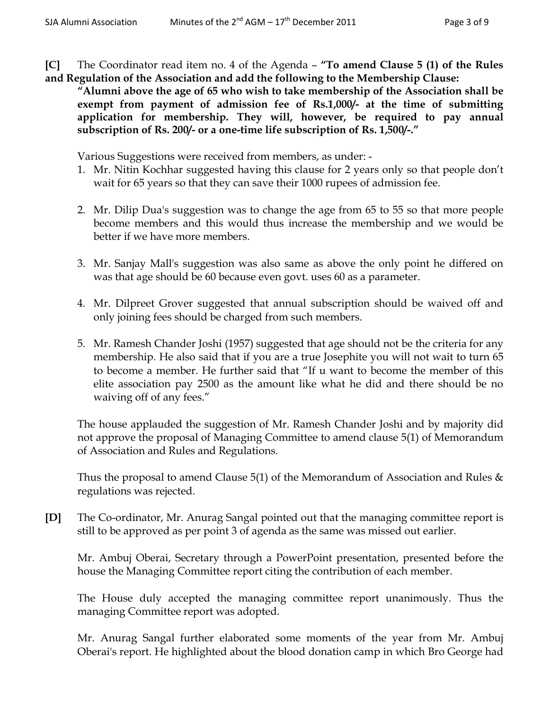**[C]** The Coordinator read item no. 4 of the Agenda – **"To amend Clause 5 (1) of the Rules and Regulation of the Association and add the following to the Membership Clause:**

**"Alumni above the age of 65 who wish to take membership of the Association shall be exempt from payment of admission fee of Rs.1,000/- at the time of submitting application for membership. They will, however, be required to pay annual subscription of Rs. 200/- or a one-time life subscription of Rs. 1,500/-."**

Various Suggestions were received from members, as under: -

- 1. Mr. Nitin Kochhar suggested having this clause for 2 years only so that people don't wait for 65 years so that they can save their 1000 rupees of admission fee.
- 2. Mr. Dilip Dua's suggestion was to change the age from 65 to 55 so that more people become members and this would thus increase the membership and we would be better if we have more members.
- 3. Mr. Sanjay Mall's suggestion was also same as above the only point he differed on was that age should be 60 because even govt. uses 60 as a parameter.
- 4. Mr. Dilpreet Grover suggested that annual subscription should be waived off and only joining fees should be charged from such members.
- 5. Mr. Ramesh Chander Joshi (1957) suggested that age should not be the criteria for any membership. He also said that if you are a true Josephite you will not wait to turn 65 to become a member. He further said that "If u want to become the member of this elite association pay 2500 as the amount like what he did and there should be no waiving off of any fees."

The house applauded the suggestion of Mr. Ramesh Chander Joshi and by majority did not approve the proposal of Managing Committee to amend clause 5(1) of Memorandum of Association and Rules and Regulations.

Thus the proposal to amend Clause  $5(1)$  of the Memorandum of Association and Rules  $\&$ regulations was rejected.

**[D]** The Co-ordinator, Mr. Anurag Sangal pointed out that the managing committee report is still to be approved as per point 3 of agenda as the same was missed out earlier.

Mr. Ambuj Oberai, Secretary through a PowerPoint presentation, presented before the house the Managing Committee report citing the contribution of each member.

The House duly accepted the managing committee report unanimously. Thus the managing Committee report was adopted.

Mr. Anurag Sangal further elaborated some moments of the year from Mr. Ambuj Oberai's report. He highlighted about the blood donation camp in which Bro George had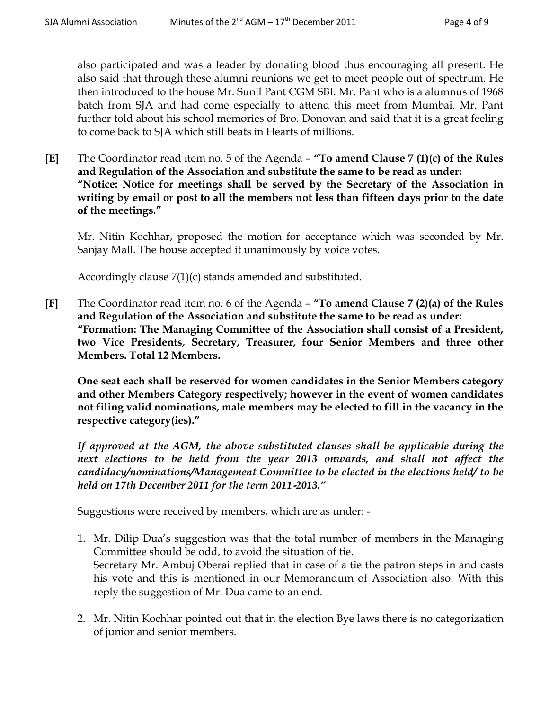also participated and was a leader by donating blood thus encouraging all present. He also said that through these alumni reunions we get to meet people out of spectrum. He then introduced to the house Mr. Sunil Pant CGM SBI. Mr. Pant who is a alumnus of 1968 batch from SJA and had come especially to attend this meet from Mumbai. Mr. Pant further told about his school memories of Bro. Donovan and said that it is a great feeling to come back to SJA which still beats in Hearts of millions.

**[E]** The Coordinator read item no. 5 of the Agenda – **"To amend Clause 7 (1)(c) of the Rules and Regulation of the Association and substitute the same to be read as under: "Notice: Notice for meetings shall be served by the Secretary of the Association in writing by email or post to all the members not less than fifteen days prior to the date of the meetings."**

Mr. Nitin Kochhar, proposed the motion for acceptance which was seconded by Mr. Sanjay Mall. The house accepted it unanimously by voice votes.

Accordingly clause 7(1)(c) stands amended and substituted.

**[F]** The Coordinator read item no. 6 of the Agenda – **"To amend Clause 7 (2)(a) of the Rules and Regulation of the Association and substitute the same to be read as under: "Formation: The Managing Committee of the Association shall consist of a President, two Vice Presidents, Secretary, Treasurer, four Senior Members and three other Members. Total 12 Members.**

**One seat each shall be reserved for women candidates in the Senior Members category and other Members Category respectively; however in the event of women candidates not filing valid nominations, male members may be elected to fill in the vacancy in the respective category(ies)."**

*If approved at the AGM, the above substituted clauses shall be applicable during the*  next elections to be held from the year 2013 onwards, and shall not affect the *candidacy/nominations/Management Committee to be elected in the elections held/ to be held on 17th December 2011 for the term 2011*‐*2013."*

Suggestions were received by members, which are as under: -

- 1. Mr. Dilip Dua's suggestion was that the total number of members in the Managing Committee should be odd, to avoid the situation of tie. Secretary Mr. Ambuj Oberai replied that in case of a tie the patron steps in and casts his vote and this is mentioned in our Memorandum of Association also. With this reply the suggestion of Mr. Dua came to an end.
- 2. Mr. Nitin Kochhar pointed out that in the election Bye laws there is no categorization of junior and senior members.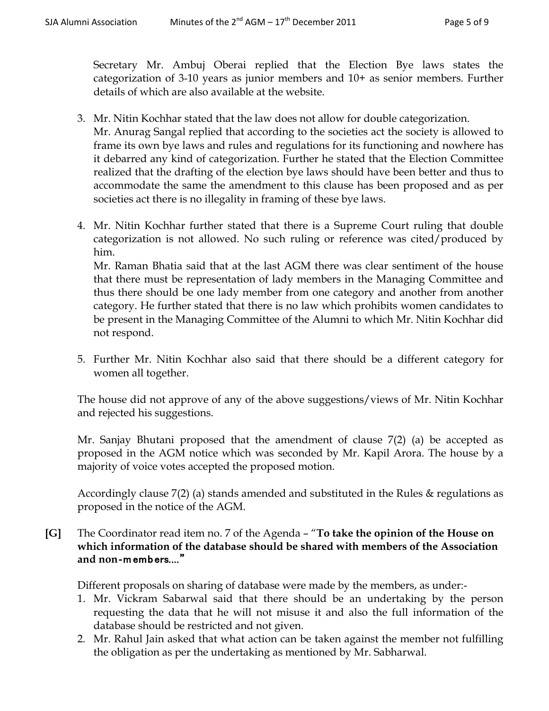Secretary Mr. Ambuj Oberai replied that the Election Bye laws states the categorization of 3-10 years as junior members and 10+ as senior members. Further details of which are also available at the website.

- 3. Mr. Nitin Kochhar stated that the law does not allow for double categorization. Mr. Anurag Sangal replied that according to the societies act the society is allowed to frame its own bye laws and rules and regulations for its functioning and nowhere has it debarred any kind of categorization. Further he stated that the Election Committee realized that the drafting of the election bye laws should have been better and thus to accommodate the same the amendment to this clause has been proposed and as per societies act there is no illegality in framing of these bye laws.
- 4. Mr. Nitin Kochhar further stated that there is a Supreme Court ruling that double categorization is not allowed. No such ruling or reference was cited/produced by him.

Mr. Raman Bhatia said that at the last AGM there was clear sentiment of the house that there must be representation of lady members in the Managing Committee and thus there should be one lady member from one category and another from another category. He further stated that there is no law which prohibits women candidates to be present in the Managing Committee of the Alumni to which Mr. Nitin Kochhar did not respond.

5. Further Mr. Nitin Kochhar also said that there should be a different category for women all together.

The house did not approve of any of the above suggestions/views of Mr. Nitin Kochhar and rejected his suggestions.

Mr. Sanjay Bhutani proposed that the amendment of clause 7(2) (a) be accepted as proposed in the AGM notice which was seconded by Mr. Kapil Arora. The house by a majority of voice votes accepted the proposed motion.

Accordingly clause 7(2) (a) stands amended and substituted in the Rules & regulations as proposed in the notice of the AGM.

**[G]** The Coordinator read item no. 7 of the Agenda – "**To take the opinion of the House on which information of the database should be shared with members of the Association and non**‐m emb ers...."

Different proposals on sharing of database were made by the members, as under:-

- 1. Mr. Vickram Sabarwal said that there should be an undertaking by the person requesting the data that he will not misuse it and also the full information of the database should be restricted and not given.
- 2. Mr. Rahul Jain asked that what action can be taken against the member not fulfilling the obligation as per the undertaking as mentioned by Mr. Sabharwal.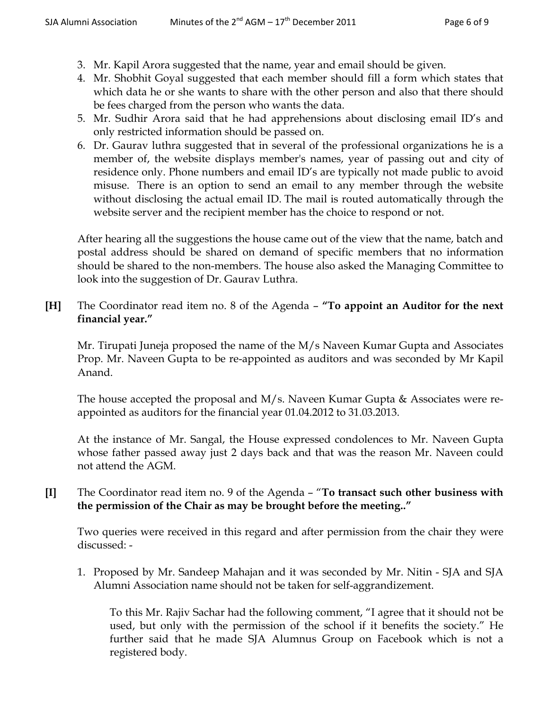- 3. Mr. Kapil Arora suggested that the name, year and email should be given.
- 4. Mr. Shobhit Goyal suggested that each member should fill a form which states that which data he or she wants to share with the other person and also that there should be fees charged from the person who wants the data.
- 5. Mr. Sudhir Arora said that he had apprehensions about disclosing email ID's and only restricted information should be passed on.
- 6. Dr. Gaurav luthra suggested that in several of the professional organizations he is a member of, the website displays member's names, year of passing out and city of residence only. Phone numbers and email ID's are typically not made public to avoid misuse. There is an option to send an email to any member through the website without disclosing the actual email ID. The mail is routed automatically through the website server and the recipient member has the choice to respond or not.

After hearing all the suggestions the house came out of the view that the name, batch and postal address should be shared on demand of specific members that no information should be shared to the non-members. The house also asked the Managing Committee to look into the suggestion of Dr. Gaurav Luthra.

**[H]** The Coordinator read item no. 8 of the Agenda – **"To appoint an Auditor for the next financial year."**

Mr. Tirupati Juneja proposed the name of the M/s Naveen Kumar Gupta and Associates Prop. Mr. Naveen Gupta to be re-appointed as auditors and was seconded by Mr Kapil Anand.

The house accepted the proposal and M/s. Naveen Kumar Gupta & Associates were reappointed as auditors for the financial year 01.04.2012 to 31.03.2013.

At the instance of Mr. Sangal, the House expressed condolences to Mr. Naveen Gupta whose father passed away just 2 days back and that was the reason Mr. Naveen could not attend the AGM.

**[I]** The Coordinator read item no. 9 of the Agenda – "**To transact such other business with the permission of the Chair as may be brought before the meeting.."**

Two queries were received in this regard and after permission from the chair they were discussed: -

1. Proposed by Mr. Sandeep Mahajan and it was seconded by Mr. Nitin - SJA and SJA Alumni Association name should not be taken for self-aggrandizement.

To this Mr. Rajiv Sachar had the following comment, "I agree that it should not be used, but only with the permission of the school if it benefits the society." He further said that he made SJA Alumnus Group on Facebook which is not a registered body.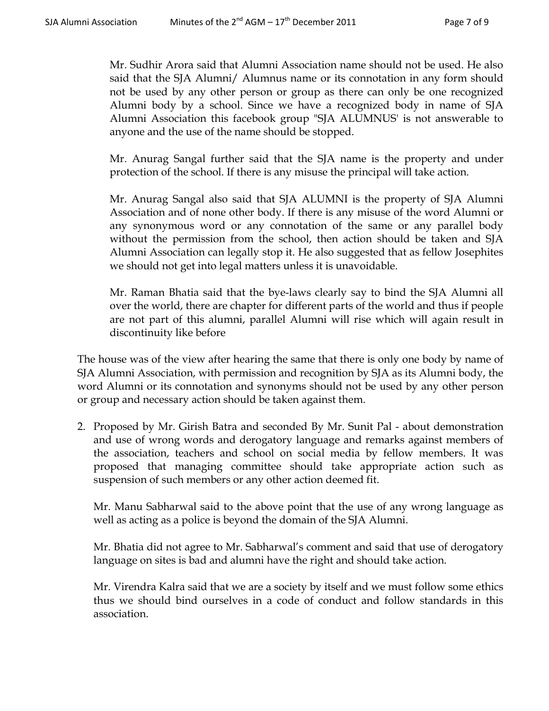Mr. Sudhir Arora said that Alumni Association name should not be used. He also said that the SJA Alumni/ Alumnus name or its connotation in any form should not be used by any other person or group as there can only be one recognized Alumni body by a school. Since we have a recognized body in name of SJA Alumni Association this facebook group "SJA ALUMNUS' is not answerable to anyone and the use of the name should be stopped.

Mr. Anurag Sangal further said that the SJA name is the property and under protection of the school. If there is any misuse the principal will take action.

Mr. Anurag Sangal also said that SJA ALUMNI is the property of SJA Alumni Association and of none other body. If there is any misuse of the word Alumni or any synonymous word or any connotation of the same or any parallel body without the permission from the school, then action should be taken and SJA Alumni Association can legally stop it. He also suggested that as fellow Josephites we should not get into legal matters unless it is unavoidable.

Mr. Raman Bhatia said that the bye-laws clearly say to bind the SJA Alumni all over the world, there are chapter for different parts of the world and thus if people are not part of this alumni, parallel Alumni will rise which will again result in discontinuity like before

The house was of the view after hearing the same that there is only one body by name of SJA Alumni Association, with permission and recognition by SJA as its Alumni body, the word Alumni or its connotation and synonyms should not be used by any other person or group and necessary action should be taken against them.

2. Proposed by Mr. Girish Batra and seconded By Mr. Sunit Pal - about demonstration and use of wrong words and derogatory language and remarks against members of the association, teachers and school on social media by fellow members. It was proposed that managing committee should take appropriate action such as suspension of such members or any other action deemed fit.

Mr. Manu Sabharwal said to the above point that the use of any wrong language as well as acting as a police is beyond the domain of the SJA Alumni.

Mr. Bhatia did not agree to Mr. Sabharwal's comment and said that use of derogatory language on sites is bad and alumni have the right and should take action.

Mr. Virendra Kalra said that we are a society by itself and we must follow some ethics thus we should bind ourselves in a code of conduct and follow standards in this association.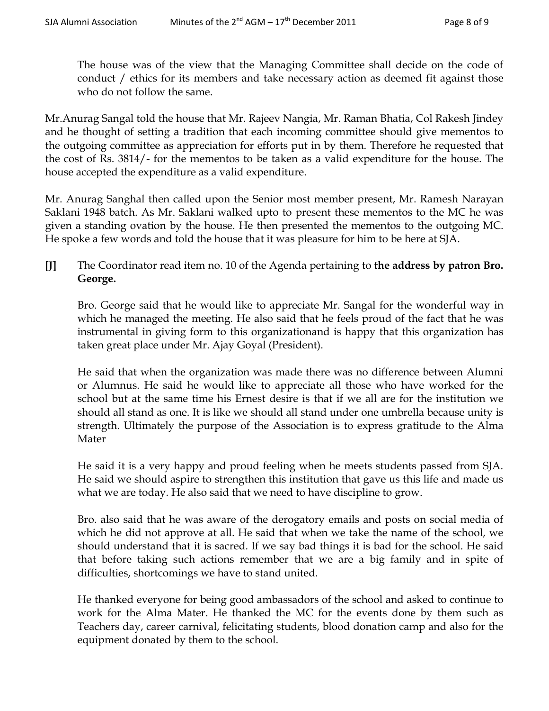The house was of the view that the Managing Committee shall decide on the code of conduct / ethics for its members and take necessary action as deemed fit against those who do not follow the same.

Mr.Anurag Sangal told the house that Mr. Rajeev Nangia, Mr. Raman Bhatia, Col Rakesh Jindey and he thought of setting a tradition that each incoming committee should give mementos to the outgoing committee as appreciation for efforts put in by them. Therefore he requested that the cost of Rs. 3814/- for the mementos to be taken as a valid expenditure for the house. The house accepted the expenditure as a valid expenditure.

Mr. Anurag Sanghal then called upon the Senior most member present, Mr. Ramesh Narayan Saklani 1948 batch. As Mr. Saklani walked upto to present these mementos to the MC he was given a standing ovation by the house. He then presented the mementos to the outgoing MC. He spoke a few words and told the house that it was pleasure for him to be here at SJA.

**[J]** The Coordinator read item no. 10 of the Agenda pertaining to **the address by patron Bro. George.**

Bro. George said that he would like to appreciate Mr. Sangal for the wonderful way in which he managed the meeting. He also said that he feels proud of the fact that he was instrumental in giving form to this organizationand is happy that this organization has taken great place under Mr. Ajay Goyal (President).

He said that when the organization was made there was no difference between Alumni or Alumnus. He said he would like to appreciate all those who have worked for the school but at the same time his Ernest desire is that if we all are for the institution we should all stand as one. It is like we should all stand under one umbrella because unity is strength. Ultimately the purpose of the Association is to express gratitude to the Alma Mater

He said it is a very happy and proud feeling when he meets students passed from SJA. He said we should aspire to strengthen this institution that gave us this life and made us what we are today. He also said that we need to have discipline to grow.

Bro. also said that he was aware of the derogatory emails and posts on social media of which he did not approve at all. He said that when we take the name of the school, we should understand that it is sacred. If we say bad things it is bad for the school. He said that before taking such actions remember that we are a big family and in spite of difficulties, shortcomings we have to stand united.

He thanked everyone for being good ambassadors of the school and asked to continue to work for the Alma Mater. He thanked the MC for the events done by them such as Teachers day, career carnival, felicitating students, blood donation camp and also for the equipment donated by them to the school.